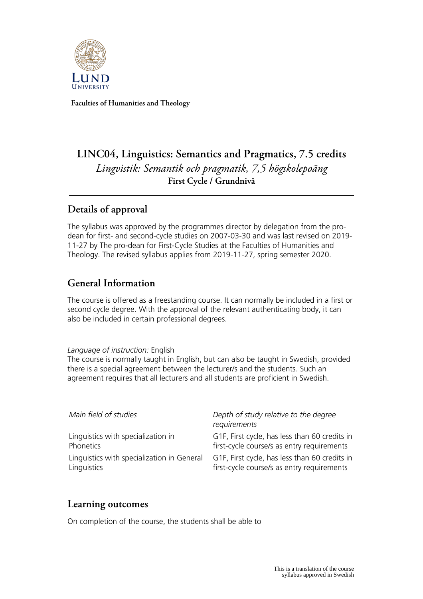

**Faculties of Humanities and Theology**

# **LINC04, Linguistics: Semantics and Pragmatics, 7.5 credits** *Lingvistik: Semantik och pragmatik, 7,5 högskolepoäng* **First Cycle / Grundnivå**

# **Details of approval**

The syllabus was approved by the programmes director by delegation from the prodean for first- and second-cycle studies on 2007-03-30 and was last revised on 2019- 11-27 by The pro-dean for First-Cycle Studies at the Faculties of Humanities and Theology. The revised syllabus applies from 2019-11-27, spring semester 2020.

# **General Information**

The course is offered as a freestanding course. It can normally be included in a first or second cycle degree. With the approval of the relevant authenticating body, it can also be included in certain professional degrees.

### *Language of instruction:* English

The course is normally taught in English, but can also be taught in Swedish, provided there is a special agreement between the lecturer/s and the students. Such an agreement requires that all lecturers and all students are proficient in Swedish.

| Main field of studies                      | Depth of study relative to the degree<br>requirements |
|--------------------------------------------|-------------------------------------------------------|
| Linguistics with specialization in         | G1F, First cycle, has less than 60 credits in         |
| Phonetics                                  | first-cycle course/s as entry requirements            |
| Linguistics with specialization in General | G1F, First cycle, has less than 60 credits in         |
| Linguistics                                | first-cycle course/s as entry requirements            |

### **Learning outcomes**

On completion of the course, the students shall be able to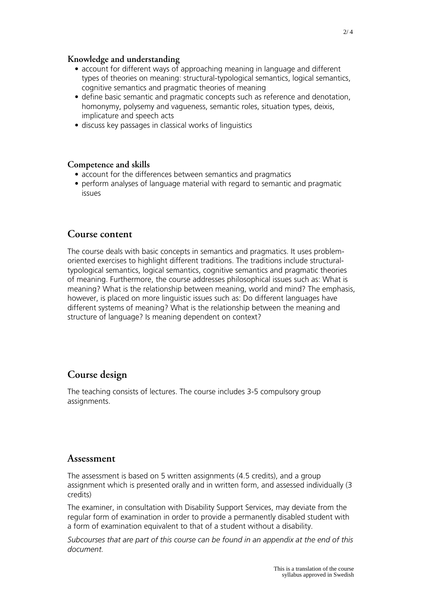### **Knowledge and understanding**

- account for different ways of approaching meaning in language and different types of theories on meaning: structural-typological semantics, logical semantics, cognitive semantics and pragmatic theories of meaning
- define basic semantic and pragmatic concepts such as reference and denotation, homonymy, polysemy and vagueness, semantic roles, situation types, deixis, implicature and speech acts
- discuss key passages in classical works of linguistics

#### **Competence and skills**

- account for the differences between semantics and pragmatics
- perform analyses of language material with regard to semantic and pragmatic issues

### **Course content**

The course deals with basic concepts in semantics and pragmatics. It uses problemoriented exercises to highlight different traditions. The traditions include structuraltypological semantics, logical semantics, cognitive semantics and pragmatic theories of meaning. Furthermore, the course addresses philosophical issues such as: What is meaning? What is the relationship between meaning, world and mind? The emphasis, however, is placed on more linguistic issues such as: Do different languages have different systems of meaning? What is the relationship between the meaning and structure of language? Is meaning dependent on context?

### **Course design**

The teaching consists of lectures. The course includes 3-5 compulsory group assignments.

### **Assessment**

The assessment is based on 5 written assignments (4.5 credits), and a group assignment which is presented orally and in written form, and assessed individually (3 credits)

The examiner, in consultation with Disability Support Services, may deviate from the regular form of examination in order to provide a permanently disabled student with a form of examination equivalent to that of a student without a disability.

*Subcourses that are part of this course can be found in an appendix at the end of this document.*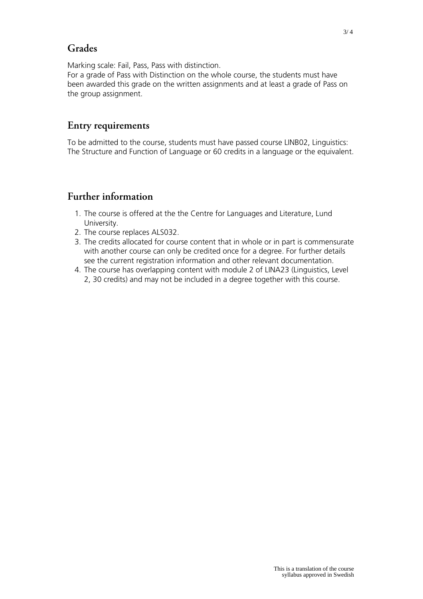# **Grades**

Marking scale: Fail, Pass, Pass with distinction.

For a grade of Pass with Distinction on the whole course, the students must have been awarded this grade on the written assignments and at least a grade of Pass on the group assignment.

### **Entry requirements**

To be admitted to the course, students must have passed course LINB02, Linguistics: The Structure and Function of Language or 60 credits in a language or the equivalent.

# **Further information**

- 1. The course is offered at the the Centre for Languages and Literature, Lund University.
- 2. The course replaces ALS032.
- 3. The credits allocated for course content that in whole or in part is commensurate with another course can only be credited once for a degree. For further details see the current registration information and other relevant documentation.
- 4. The course has overlapping content with module 2 of LINA23 (Linguistics, Level 2, 30 credits) and may not be included in a degree together with this course.